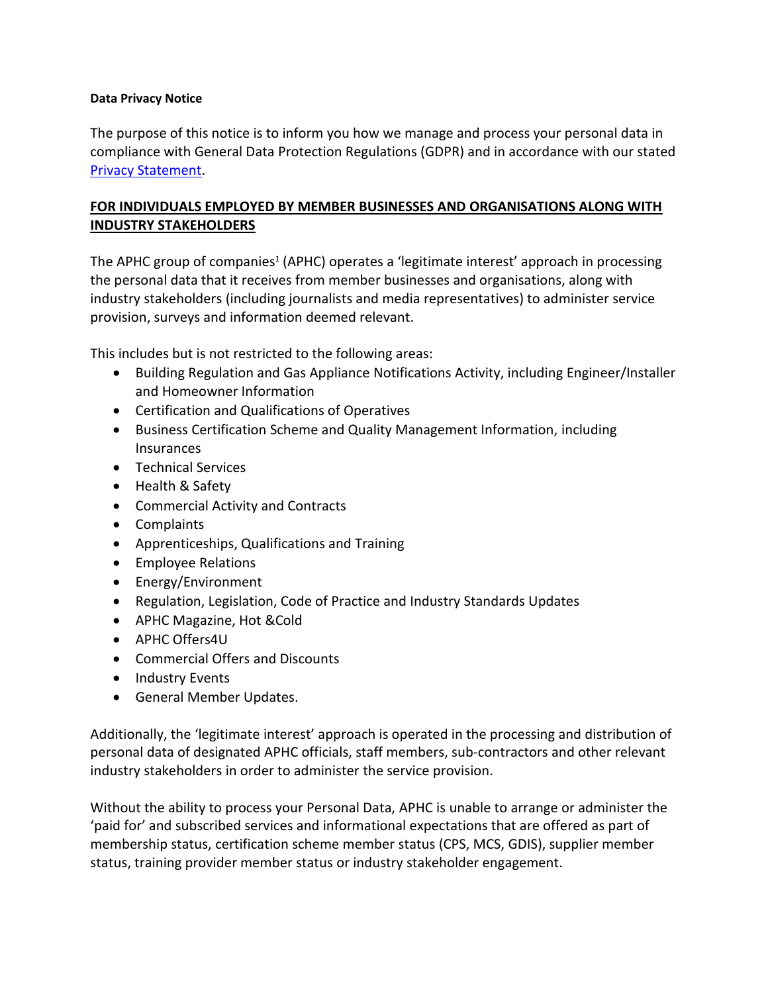## **Data Privacy Notice**

The purpose of this notice is to inform you how we manage and process your personal data in compliance with General Data Protection Regulations (GDPR) and in accordance with our stated [Privacy Statement.](http://www.aphc.co.uk/privacy_policy.asp)

## **FOR INDIVIDUALS EMPLOYED BY MEMBER BUSINESSES AND ORGANISATIONS ALONG WITH INDUSTRY STAKEHOLDERS**

The APHC group of companies<sup>1</sup> (APHC) operates a 'legitimate interest' approach in processing the personal data that it receives from member businesses and organisations, along with industry stakeholders (including journalists and media representatives) to administer service provision, surveys and information deemed relevant.

This includes but is not restricted to the following areas:

- Building Regulation and Gas Appliance Notifications Activity, including Engineer/Installer and Homeowner Information
- Certification and Qualifications of Operatives
- Business Certification Scheme and Quality Management Information, including Insurances
- Technical Services
- Health & Safety
- Commercial Activity and Contracts
- Complaints
- Apprenticeships, Qualifications and Training
- **•** Employee Relations
- Energy/Environment
- Regulation, Legislation, Code of Practice and Industry Standards Updates
- APHC Magazine, Hot &Cold
- APHC Offers4U
- Commercial Offers and Discounts
- Industry Events
- **•** General Member Updates.

Additionally, the 'legitimate interest' approach is operated in the processing and distribution of personal data of designated APHC officials, staff members, sub-contractors and other relevant industry stakeholders in order to administer the service provision.

Without the ability to process your Personal Data, APHC is unable to arrange or administer the 'paid for' and subscribed services and informational expectations that are offered as part of membership status, certification scheme member status (CPS, MCS, GDIS), supplier member status, training provider member status or industry stakeholder engagement.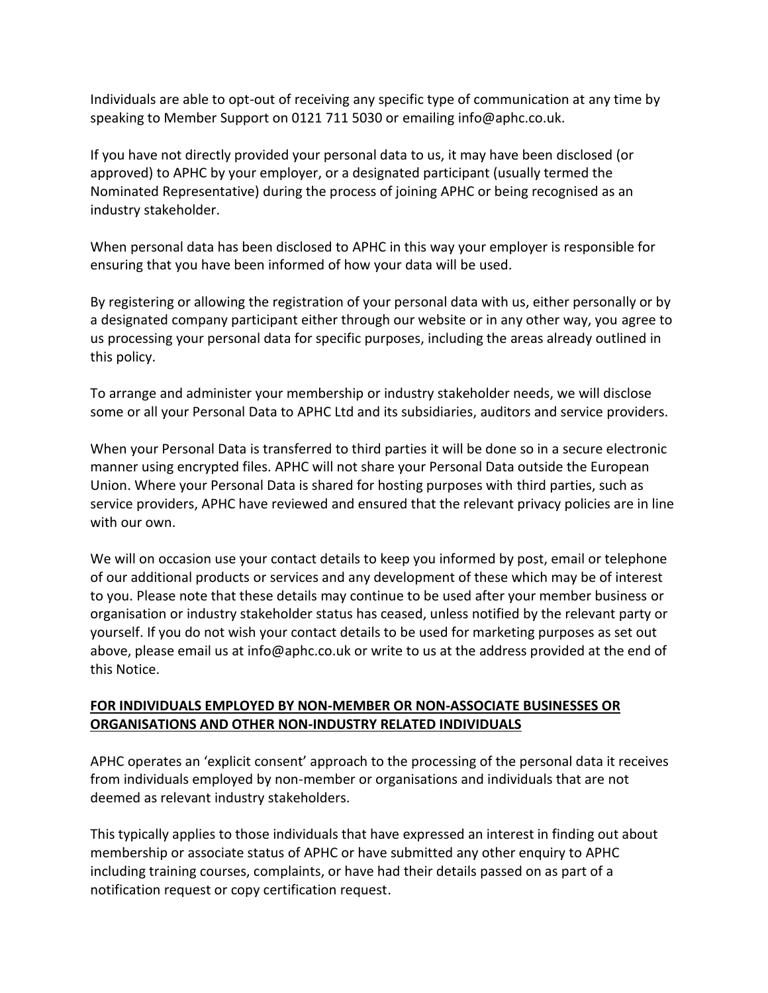Individuals are able to opt-out of receiving any specific type of communication at any time by speaking to Member Support on 0121 711 5030 or emailing info@aphc.co.uk.

If you have not directly provided your personal data to us, it may have been disclosed (or approved) to APHC by your employer, or a designated participant (usually termed the Nominated Representative) during the process of joining APHC or being recognised as an industry stakeholder.

When personal data has been disclosed to APHC in this way your employer is responsible for ensuring that you have been informed of how your data will be used.

By registering or allowing the registration of your personal data with us, either personally or by a designated company participant either through our website or in any other way, you agree to us processing your personal data for specific purposes, including the areas already outlined in this policy.

To arrange and administer your membership or industry stakeholder needs, we will disclose some or all your Personal Data to APHC Ltd and its subsidiaries, auditors and service providers.

When your Personal Data is transferred to third parties it will be done so in a secure electronic manner using encrypted files. APHC will not share your Personal Data outside the European Union. Where your Personal Data is shared for hosting purposes with third parties, such as service providers, APHC have reviewed and ensured that the relevant privacy policies are in line with our own.

We will on occasion use your contact details to keep you informed by post, email or telephone of our additional products or services and any development of these which may be of interest to you. Please note that these details may continue to be used after your member business or organisation or industry stakeholder status has ceased, unless notified by the relevant party or yourself. If you do not wish your contact details to be used for marketing purposes as set out above, please email us at info@aphc.co.uk or write to us at the address provided at the end of this Notice.

## **FOR INDIVIDUALS EMPLOYED BY NON-MEMBER OR NON-ASSOCIATE BUSINESSES OR ORGANISATIONS AND OTHER NON-INDUSTRY RELATED INDIVIDUALS**

APHC operates an 'explicit consent' approach to the processing of the personal data it receives from individuals employed by non-member or organisations and individuals that are not deemed as relevant industry stakeholders.

This typically applies to those individuals that have expressed an interest in finding out about membership or associate status of APHC or have submitted any other enquiry to APHC including training courses, complaints, or have had their details passed on as part of a notification request or copy certification request.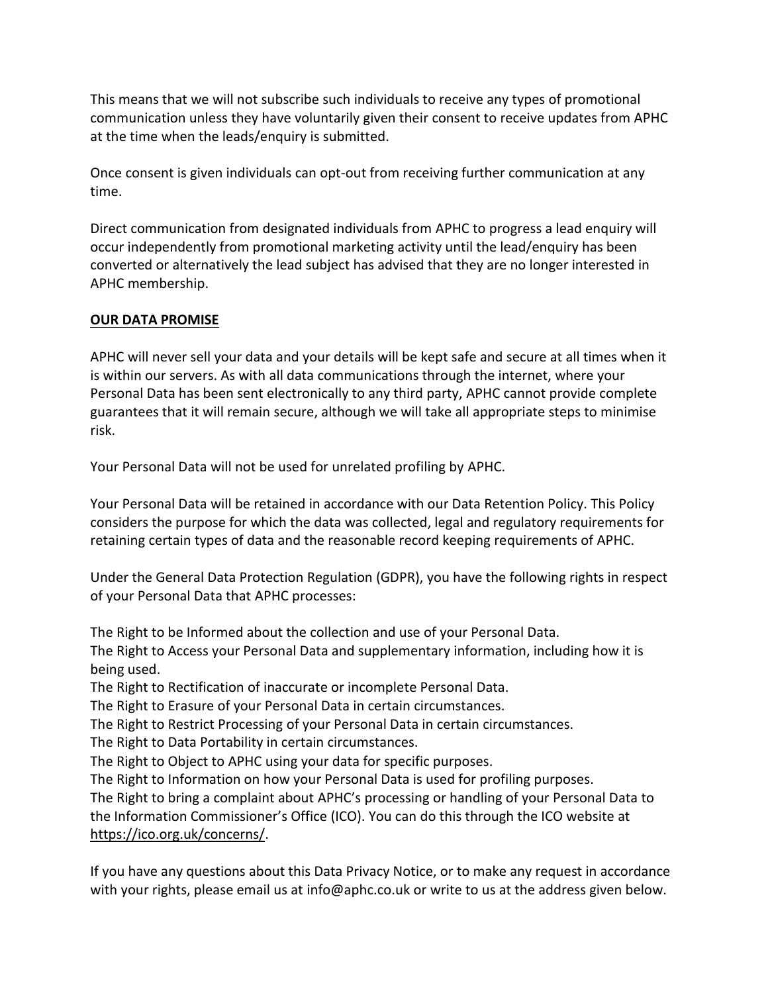This means that we will not subscribe such individuals to receive any types of promotional communication unless they have voluntarily given their consent to receive updates from APHC at the time when the leads/enquiry is submitted.

Once consent is given individuals can opt-out from receiving further communication at any time.

Direct communication from designated individuals from APHC to progress a lead enquiry will occur independently from promotional marketing activity until the lead/enquiry has been converted or alternatively the lead subject has advised that they are no longer interested in APHC membership.

## **OUR DATA PROMISE**

APHC will never sell your data and your details will be kept safe and secure at all times when it is within our servers. As with all data communications through the internet, where your Personal Data has been sent electronically to any third party, APHC cannot provide complete guarantees that it will remain secure, although we will take all appropriate steps to minimise risk.

Your Personal Data will not be used for unrelated profiling by APHC.

Your Personal Data will be retained in accordance with our Data Retention Policy. This Policy considers the purpose for which the data was collected, legal and regulatory requirements for retaining certain types of data and the reasonable record keeping requirements of APHC.

Under the General Data Protection Regulation (GDPR), you have the following rights in respect of your Personal Data that APHC processes:

The Right to be Informed about the collection and use of your Personal Data. The Right to Access your Personal Data and supplementary information, including how it is being used.

The Right to Rectification of inaccurate or incomplete Personal Data.

The Right to Erasure of your Personal Data in certain circumstances.

The Right to Restrict Processing of your Personal Data in certain circumstances.

The Right to Data Portability in certain circumstances.

The Right to Object to APHC using your data for specific purposes.

The Right to Information on how your Personal Data is used for profiling purposes.

The Right to bring a complaint about APHC's processing or handling of your Personal Data to the Information Commissioner's Office (ICO). You can do this through the ICO website at [https://ico.org.uk/concerns/.](https://ico.org.uk/concerns/)

If you have any questions about this Data Privacy Notice, or to make any request in accordance with your rights, please email us at info@aphc.co.uk or write to us at the address given below.